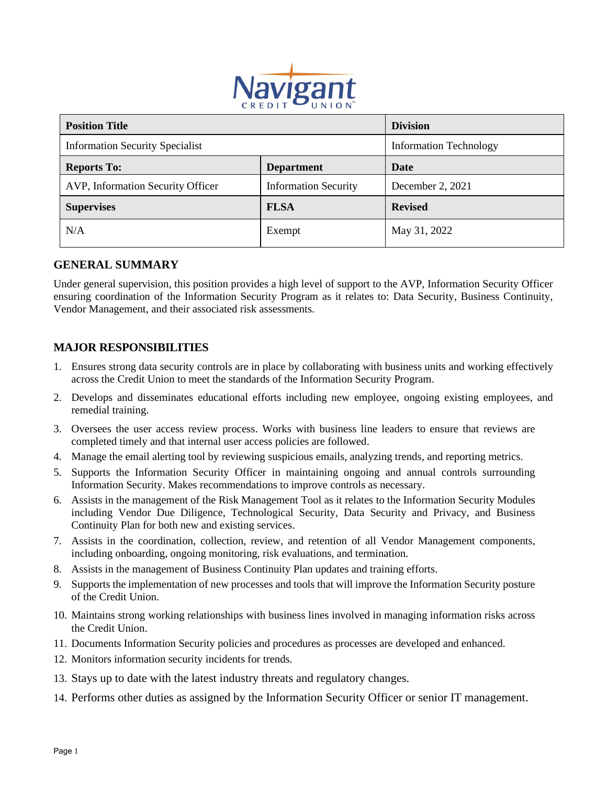

| <b>Position Title</b>                  |                             | <b>Division</b>               |
|----------------------------------------|-----------------------------|-------------------------------|
| <b>Information Security Specialist</b> |                             | <b>Information Technology</b> |
| <b>Reports To:</b>                     | <b>Department</b>           | Date                          |
| AVP, Information Security Officer      | <b>Information Security</b> | December 2, 2021              |
| <b>Supervises</b>                      | <b>FLSA</b>                 | <b>Revised</b>                |
| N/A                                    | Exempt                      | May 31, 2022                  |

### **GENERAL SUMMARY**

Under general supervision, this position provides a high level of support to the AVP, Information Security Officer ensuring coordination of the Information Security Program as it relates to: Data Security, Business Continuity, Vendor Management, and their associated risk assessments.

#### **MAJOR RESPONSIBILITIES**

- 1. Ensures strong data security controls are in place by collaborating with business units and working effectively across the Credit Union to meet the standards of the Information Security Program.
- 2. Develops and disseminates educational efforts including new employee, ongoing existing employees, and remedial training.
- 3. Oversees the user access review process. Works with business line leaders to ensure that reviews are completed timely and that internal user access policies are followed.
- 4. Manage the email alerting tool by reviewing suspicious emails, analyzing trends, and reporting metrics.
- 5. Supports the Information Security Officer in maintaining ongoing and annual controls surrounding Information Security. Makes recommendations to improve controls as necessary.
- 6. Assists in the management of the Risk Management Tool as it relates to the Information Security Modules including Vendor Due Diligence, Technological Security, Data Security and Privacy, and Business Continuity Plan for both new and existing services.
- 7. Assists in the coordination, collection, review, and retention of all Vendor Management components, including onboarding, ongoing monitoring, risk evaluations, and termination.
- 8. Assists in the management of Business Continuity Plan updates and training efforts.
- 9. Supports the implementation of new processes and tools that will improve the Information Security posture of the Credit Union.
- 10. Maintains strong working relationships with business lines involved in managing information risks across the Credit Union.
- 11. Documents Information Security policies and procedures as processes are developed and enhanced.
- 12. Monitors information security incidents for trends.
- 13. Stays up to date with the latest industry threats and regulatory changes.
- 14. Performs other duties as assigned by the Information Security Officer or senior IT management.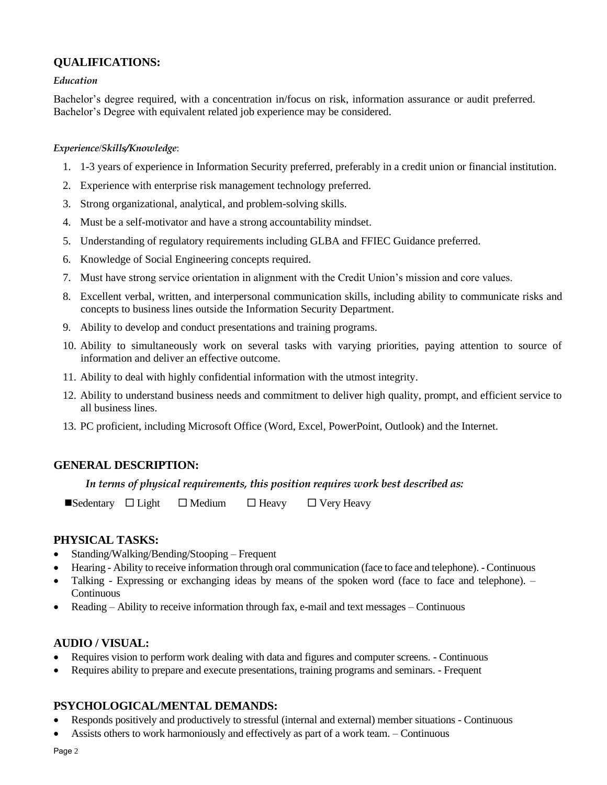# **QUALIFICATIONS:**

#### *Education*

Bachelor's degree required, with a concentration in/focus on risk, information assurance or audit preferred. Bachelor's Degree with equivalent related job experience may be considered.

#### *Experience*/*Skills/Knowledge*:

- 1. 1-3 years of experience in Information Security preferred, preferably in a credit union or financial institution.
- 2. Experience with enterprise risk management technology preferred.
- 3. Strong organizational, analytical, and problem-solving skills.
- 4. Must be a self-motivator and have a strong accountability mindset.
- 5. Understanding of regulatory requirements including GLBA and FFIEC Guidance preferred.
- 6. Knowledge of Social Engineering concepts required.
- 7. Must have strong service orientation in alignment with the Credit Union's mission and core values.
- 8. Excellent verbal, written, and interpersonal communication skills, including ability to communicate risks and concepts to business lines outside the Information Security Department.
- 9. Ability to develop and conduct presentations and training programs.
- 10. Ability to simultaneously work on several tasks with varying priorities, paying attention to source of information and deliver an effective outcome.
- 11. Ability to deal with highly confidential information with the utmost integrity.
- 12. Ability to understand business needs and commitment to deliver high quality, prompt, and efficient service to all business lines.
- 13. PC proficient, including Microsoft Office (Word, Excel, PowerPoint, Outlook) and the Internet.

### **GENERAL DESCRIPTION:**

#### *In terms of physical requirements, this position requires work best described as:*

 $\blacksquare$ Sedentary  $\square$  Light  $\square$  Medium  $\square$  Heavy  $\square$  Very Heavy

### **PHYSICAL TASKS:**

- Standing/Walking/Bending/Stooping Frequent
- Hearing Ability to receive information through oral communication (face to face and telephone). Continuous
- Talking Expressing or exchanging ideas by means of the spoken word (face to face and telephone). Continuous
- Reading Ability to receive information through fax, e-mail and text messages Continuous

### **AUDIO / VISUAL:**

- Requires vision to perform work dealing with data and figures and computer screens. Continuous
- Requires ability to prepare and execute presentations, training programs and seminars. Frequent

## **PSYCHOLOGICAL/MENTAL DEMANDS:**

- Responds positively and productively to stressful (internal and external) member situations Continuous
- Assists others to work harmoniously and effectively as part of a work team. Continuous